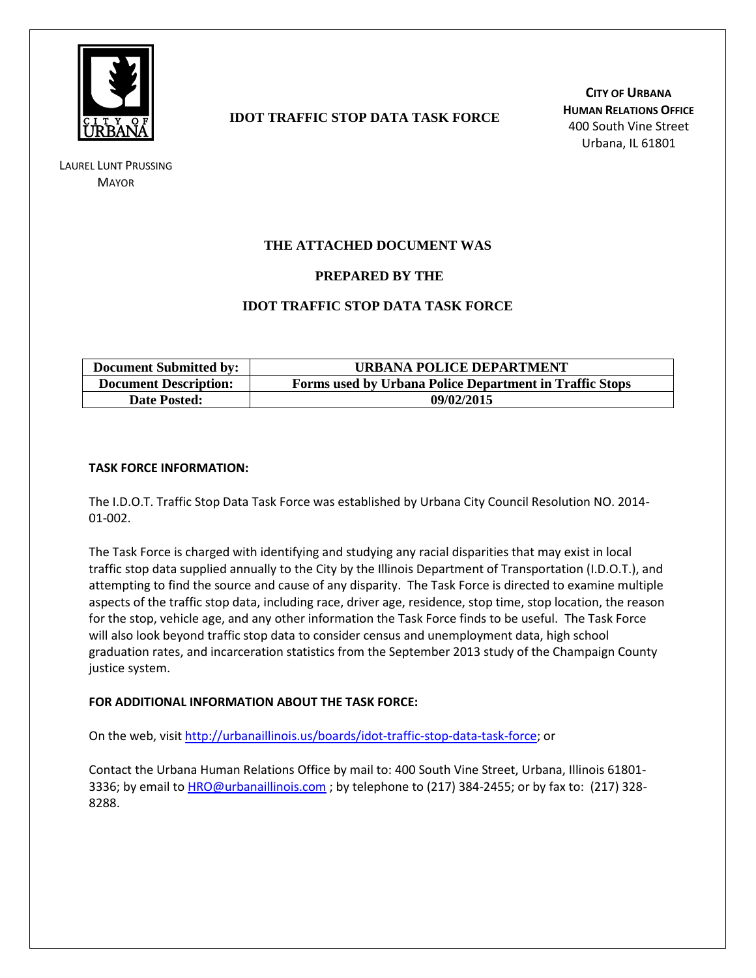

LAUREL LUNT PRUSSING **MAYOR** 

# **IDOT TRAFFIC STOP DATA TASK FORCE**

**CITY OF URBANA HUMAN RELATIONS OFFICE** 400 South Vine Street Urbana, IL 61801

## **THE ATTACHED DOCUMENT WAS**

### **PREPARED BY THE**

### **IDOT TRAFFIC STOP DATA TASK FORCE**

| <b>Document Submitted by:</b> | URBANA POLICE DEPARTMENT                                |
|-------------------------------|---------------------------------------------------------|
| <b>Document Description:</b>  | Forms used by Urbana Police Department in Traffic Stops |
| <b>Date Posted:</b>           | 09/02/2015                                              |

#### **TASK FORCE INFORMATION:**

The I.D.O.T. Traffic Stop Data Task Force was established by Urbana City Council Resolution NO. 2014- 01-002.

The Task Force is charged with identifying and studying any racial disparities that may exist in local traffic stop data supplied annually to the City by the Illinois Department of Transportation (I.D.O.T.), and attempting to find the source and cause of any disparity. The Task Force is directed to examine multiple aspects of the traffic stop data, including race, driver age, residence, stop time, stop location, the reason for the stop, vehicle age, and any other information the Task Force finds to be useful. The Task Force will also look beyond traffic stop data to consider census and unemployment data, high school graduation rates, and incarceration statistics from the September 2013 study of the Champaign County justice system.

#### **FOR ADDITIONAL INFORMATION ABOUT THE TASK FORCE:**

On the web, visit [http://urbanaillinois.us/boards/idot-traffic-stop-data-task-force;](http://urbanaillinois.us/boards/idot-traffic-stop-data-task-force) or

Contact the Urbana Human Relations Office by mail to: 400 South Vine Street, Urbana, Illinois 61801- 3336; by email to [HRO@urbanaillinois.com](mailto:HRO@urbanaillinois.com); by telephone to (217) 384-2455; or by fax to: (217) 328-8288.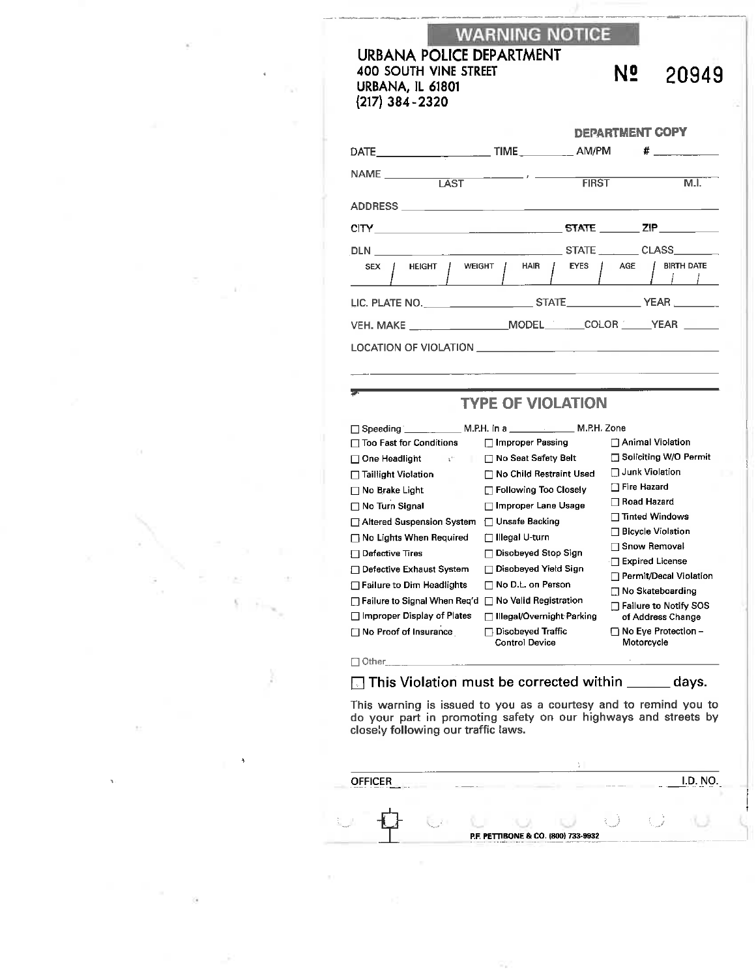**WARNING NOTICE** 

### **URBANA POLICE DEPARTMENT** 400 SOUTH VINE STREET URBANA, IL 61801  $(217)$  384 - 2320

N<sub>2</sub> 20949

|                                                                                                                                           | <b>DEPARTMENT COPY</b> |  |                      |  |
|-------------------------------------------------------------------------------------------------------------------------------------------|------------------------|--|----------------------|--|
|                                                                                                                                           |                        |  |                      |  |
| $\begin{array}{c c c c} \hline \texttt{NAME} & \texttt{\_} & \texttt{\_} & \texttt{\_} & \texttt{\_} & \texttt{\_} \\ \hline \end{array}$ |                        |  | <b>EIRST</b><br>M.I. |  |
|                                                                                                                                           |                        |  |                      |  |
|                                                                                                                                           |                        |  |                      |  |
|                                                                                                                                           |                        |  |                      |  |
| SEX HEIGHT WEIGHT HAIR FYES AGE BIRTH DATE                                                                                                |                        |  |                      |  |
|                                                                                                                                           |                        |  |                      |  |
|                                                                                                                                           |                        |  |                      |  |
|                                                                                                                                           |                        |  |                      |  |

## **TYPE OF VIOLATION**

|                                                           | Speeding ______________ M.P.H. in a ___________________ M.P.H. Zone |                                   |
|-----------------------------------------------------------|---------------------------------------------------------------------|-----------------------------------|
| <b>Too Fast for Conditions</b>                            | ⊟ Improper Passing                                                  | $\sqcap$ Animal Violation         |
| One Headlight<br>$\mathfrak{t}^{\scriptscriptstyle{(1)}}$ | <b>□ No Seat Safety Belt</b>                                        | □ Soliciting W/O Permit           |
| <b>□ Taillight Violation</b>                              | 厂 No Child Restraint Used                                           | $\Box$ Junk Violation             |
| No Brake Light                                            | $\Box$ Following Too Closely                                        | □ Fire Hazard                     |
| $\Box$ No Turn Signal                                     | <b>Improper Lane Usage</b>                                          | ⊣ Road Hazard                     |
| Altered Suspension System                                 | ⊟ Unsafe Backing                                                    | Tinted Windows                    |
| $\Box$ No Lights When Required                            | Illegal U-turn                                                      | <b>Bicycle Violation</b>          |
| Defective Tires                                           | Disobeyed Stop Sign                                                 | – Snow Removal                    |
| <b>□ Defective Exhaust System</b>                         | Disobeyed Yield Sign                                                | $\Box$ Expired License            |
| <b>Failure to Dim Headlights</b>                          | No D.L. on Person                                                   | □ Permit/Decal Violatior          |
| □ Failure to Signal When Req'd                            | No Valid Registration<br>$\mathbf{I}$                               | □ No Skateboarding                |
|                                                           |                                                                     | <b>Failure to Notify SOS</b>      |
| Improper Display of Plates                                | Illegal/Overnight Parking                                           | of Address Change                 |
| □ No Proof of Insurance                                   | Disobeyed Traffic<br><b>Control Device</b>                          | No Eye Protection -<br>Motorcycle |
|                                                           |                                                                     |                                   |

Other\_

This Violation must be corrected within \_\_\_\_ days.

This warning is issued to you as a courtesy and to remind you to do your part in promoting safety on our highways and streets by closely following our traffic laws.

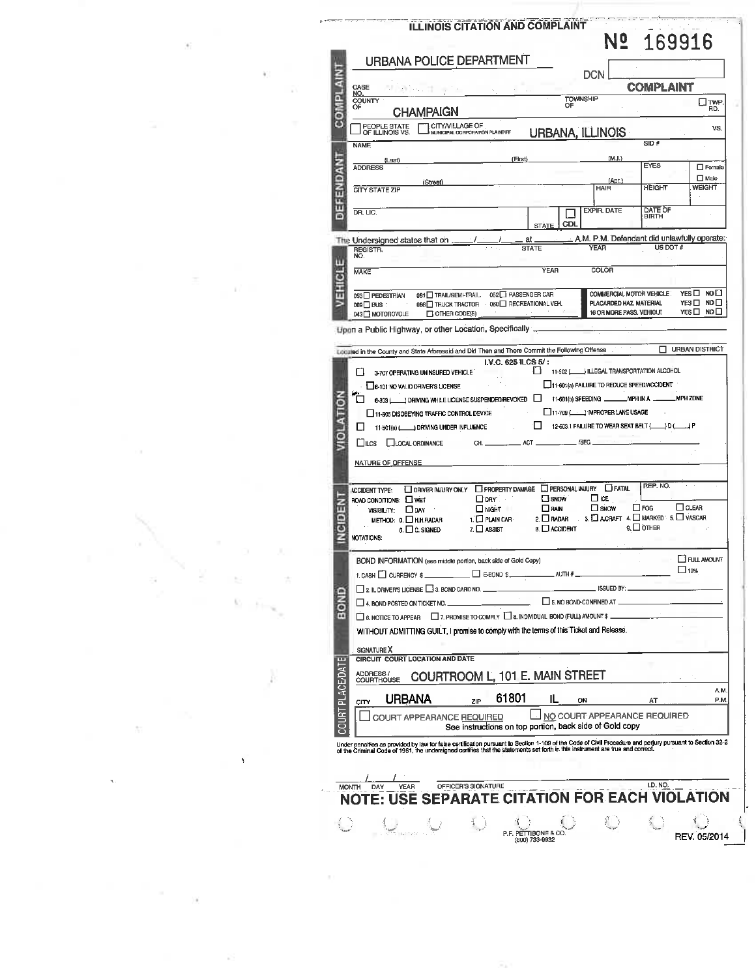| <b>URBANA POLICE DEPARTMENT</b>                                                                                                                                                                                                   |                                                         | <b>DCN</b>                                                 |                  |                              |
|-----------------------------------------------------------------------------------------------------------------------------------------------------------------------------------------------------------------------------------|---------------------------------------------------------|------------------------------------------------------------|------------------|------------------------------|
| COMPLAINT<br>CASE<br><u>NO.</u>                                                                                                                                                                                                   |                                                         |                                                            | <b>COMPLAINT</b> |                              |
| COUNTY<br>OF<br><b>CHAMPAIGN</b>                                                                                                                                                                                                  | <b>TOWNSHIP</b><br>OF                                   |                                                            |                  | $\Box$ TWP<br>RD.            |
| GITY/VILLAGE OF<br>Smunicipal corporation plaintiff<br>PEOPLE STATE<br>OF ILLINOIS VS.                                                                                                                                            |                                                         |                                                            |                  | VS.                          |
| <b>NAME</b>                                                                                                                                                                                                                       | URBANA, ILLINOIS                                        |                                                            | SID#             |                              |
| (Last)                                                                                                                                                                                                                            | (First)                                                 | (M,I.)                                                     |                  |                              |
| <b>ADDRESS</b>                                                                                                                                                                                                                    |                                                         |                                                            | <b>EYES</b>      | $\Box$ Female<br>$\Box$ Male |
| (Street)<br><b>CITY STATE ZIP</b>                                                                                                                                                                                                 |                                                         | (Apt.)<br><b>HAIR</b>                                      | HEIGHT           | <b>WEIGHT</b>                |
| DEFENDANT<br>DR. LIC.                                                                                                                                                                                                             |                                                         | <b>EXPIR. DATE</b>                                         | <b>DATE OF</b>   |                              |
|                                                                                                                                                                                                                                   | CDL<br><b>STATE</b>                                     |                                                            | <b>BIRTH</b>     |                              |
| The Undersigned states that on _<br>REGISTR.                                                                                                                                                                                      | at.<br>STATE                                            | A.M. P.M. Defendant did unlawfully operate:<br><b>YEAR</b> | US DOT $#$       |                              |
| NO.<br>w                                                                                                                                                                                                                          |                                                         | <b>COLOR</b>                                               |                  |                              |
| Ë<br><b>MAKE</b>                                                                                                                                                                                                                  | <b>YEAR</b>                                             |                                                            |                  |                              |
| 튜<br>081 TRAIL/SEMI-TRAIL 052 TPASSENGER CAR<br>053□ PEDESTRIAN                                                                                                                                                                   |                                                         | COMMERCIAL MOTOR VEHICLE: YES C NO                         |                  |                              |
| and the<br>009 <b>∐ BUS</b><br>$\Box$ OTHER CODE(S)<br>043 <sup>"</sup> MOTORCYCLE                                                                                                                                                |                                                         | PLACARDED HAZ MATERIAL<br>16 OR MORE PASS. VEHICLE         |                  | YES□ NO□<br>YES□ NO□         |
| Upon a Public Highway, or other Location, Specifically _                                                                                                                                                                          |                                                         |                                                            |                  |                              |
| Locuted in the County and State Aforesaid and Did Then and There Commit the Following Offense                                                                                                                                     |                                                         |                                                            |                  | URBAN DISTRICT               |
|                                                                                                                                                                                                                                   | I.V.C. 625 ILCS 5/:                                     |                                                            |                  |                              |
| 3-707 OPERATING UNINSURED VEHICLE<br>□                                                                                                                                                                                            | O                                                       | 11-502 (ULLEGAL TRANSPORTATION ALCOHOL                     |                  |                              |
| 6-101 NO VALID DRIVER'S LICENSE                                                                                                                                                                                                   |                                                         | 11-601(a) FAILURE TO REDUCE SPEED/ACCIDENT                 |                  |                              |
| 6-303 (All ) DRIVING WHILE LICENSE SUSPENDED/REVOKED   11-601(b) SPEEDING ALL MPH IN A ALL MPH ZONE                                                                                                                               |                                                         |                                                            |                  |                              |
| □                                                                                                                                                                                                                                 |                                                         |                                                            |                  |                              |
| 11-305 DISOBEYING TRAFFIC CONTROL DEVICE                                                                                                                                                                                          | <b>Contract</b>                                         | 11-709 (MPROPER LANE USAGE                                 |                  |                              |
| 11-501(a) (Call DRIVING UNDER INFLUENCE<br>Ц                                                                                                                                                                                      |                                                         | 12-603.1 FAILURE TO WEAR SEAT BELT (130 (14) P             |                  |                              |
| li ol<br>LILCS LILOCAL ORDINANCE                                                                                                                                                                                                  |                                                         |                                                            |                  |                              |
|                                                                                                                                                                                                                                   |                                                         | . /SEC                                                     |                  |                              |
|                                                                                                                                                                                                                                   |                                                         |                                                            |                  |                              |
| NATURE OF OFFENSE                                                                                                                                                                                                                 |                                                         |                                                            |                  |                              |
|                                                                                                                                                                                                                                   |                                                         |                                                            |                  |                              |
| O DRIVER INJURY ONLY <b>DPROPERTY DAMAGE DPERSONAL INJURY DFATAL</b><br><b>ACCIDENT TYPE:</b>                                                                                                                                     |                                                         |                                                            | REP. NO.         |                              |
| $\Box$ DRY $\Box$<br>ROAD CONDITIONS: L WET                                                                                                                                                                                       | <b>SNOW</b>                                             | $\Box$ ICE                                                 |                  |                              |
| Ğ<br>NIGHT<br>VISIBILITY: <b>QDAY</b>                                                                                                                                                                                             | $\square$ RAIN                                          | $\square$ SNOW                                             | $\Box$ FOG       | $\Box$ CLEAR                 |
| e<br>G<br>1. O PLAIN CAR<br>METHOD: 0. □ H.H.RADAR<br>7. □ ASSIST<br>$6. \Box$ C. SIGNED                                                                                                                                          | 8. O ACCIDENT                                           | 2. RADAR 3. A CRAFT 4. MARKED: 5. VASCAR                   | $9.$ OTHER       |                              |
| F<br>NOTATIONS:                                                                                                                                                                                                                   |                                                         |                                                            |                  |                              |
|                                                                                                                                                                                                                                   |                                                         |                                                            |                  |                              |
| BOND INFORMATION (see middle portion, back side of Gold Copy)                                                                                                                                                                     |                                                         |                                                            |                  | FULL AMOUNT                  |
| 1. CASH $\Box$ CURRENCY \$                                                                                                                                                                                                        | $AITH \ddot{x}$                                         |                                                            |                  | $\square$ 10%                |
| $\Box$ 2. IL DRIVER'S LICENSE $\Box$ 3. BOND CARD NO.                                                                                                                                                                             |                                                         | ISSUED BY                                                  |                  |                              |
|                                                                                                                                                                                                                                   | $\Box$ 5. NO BOND-CONFINED AT.                          |                                                            |                  |                              |
| <b>EROPE</b><br>$\Box$ 4, BOND POSTED ON TICKET NO.                                                                                                                                                                               |                                                         |                                                            |                  |                              |
| $\Box$ 6. NOTICE TO APPEAR $\Box$ 7. PROMISE TO COMPLY $\Box$ 8. INDIVIDUAL BOND (FULL) AMOUNT \$                                                                                                                                 |                                                         |                                                            |                  |                              |
| WITHOUT ADMITTING GUILT, I promise to comply with the terms of this Ticket and Release.                                                                                                                                           |                                                         |                                                            |                  |                              |
| SIGNATURE X                                                                                                                                                                                                                       |                                                         |                                                            |                  |                              |
| CIRCUIT COURT LOCATION AND DATE                                                                                                                                                                                                   |                                                         |                                                            |                  |                              |
| ADDRESS /<br>COURTHOUSE<br>COURTROOM L, 101 E. MAIN STREET                                                                                                                                                                        |                                                         |                                                            |                  |                              |
|                                                                                                                                                                                                                                   | 61801<br>IL.                                            | ON                                                         | AT               | A.M<br>P.M.                  |
| <b>URBANA</b><br>ZIP<br>CITY                                                                                                                                                                                                      |                                                         |                                                            |                  |                              |
| <b>COURT APPEARANCE REQUIRED</b>                                                                                                                                                                                                  |                                                         | NO COURT APPEARANCE REQUIRED                               |                  |                              |
|                                                                                                                                                                                                                                   | See instructions on top portion, back side of Gold copy |                                                            |                  |                              |
| COURT PLACE/DATE                                                                                                                                                                                                                  |                                                         |                                                            |                  |                              |
| Under penalties as provided by law for false certification pursuant to Section 1-109 of the Code of Civil Procedure and perjury pursuant to Section 32-2<br>of the Criminal Code of 1961, the undersigned certifies that the stat |                                                         |                                                            |                  |                              |
|                                                                                                                                                                                                                                   |                                                         |                                                            |                  |                              |
| OFFICER'S SIGNATURE<br>YEAR<br>MONTH<br>DAY                                                                                                                                                                                       |                                                         |                                                            | I.D. NO.         |                              |
| TE: USE SEPARATE CITATION FOR EACH VIOI                                                                                                                                                                                           |                                                         |                                                            |                  |                              |
|                                                                                                                                                                                                                                   |                                                         |                                                            |                  |                              |

 $\widehat{\mathcal{M}}_{\text{eff}}$  )

 $\sim 10^{-10}$  M

 $\sum_{i=1}^{\infty}$ 

- 28

control and

 $\alpha$ 

 $\frac{1}{\sqrt{2}}$ 

 $\hat{\mathbf{x}}_t$ 

 $\frac{\pi}{\sqrt{2}}$  ,  $\frac{\pi}{\sqrt{2}}$  ,  $\frac{\pi}{\sqrt{2}}$  ,  $\frac{\pi}{\sqrt{2}}$ 

 $\frac{1}{2}$ 

 $\mathcal{M}=\frac{1}{2N}$  .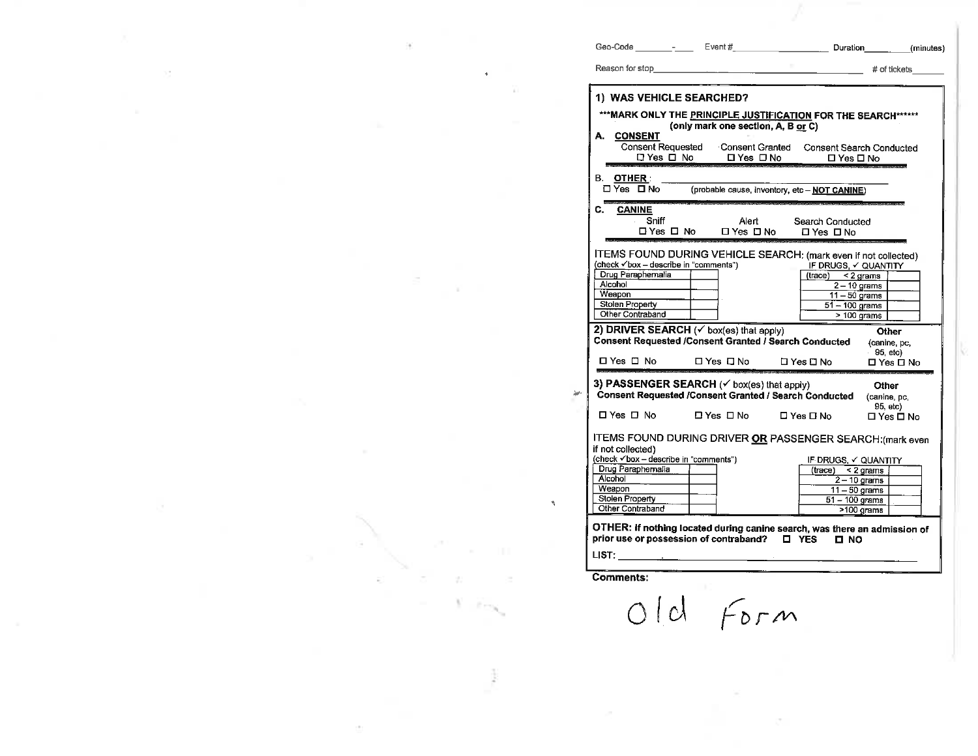| Geo-Code<br>$\overline{\phantom{a}}$ | Event# | Duration | (minutes)    |
|--------------------------------------|--------|----------|--------------|
| Reason for stop                      |        |          | # of tickets |

| 1) WAS VEHICLE SEARCHED?                                                                                                                                           |                               |                                                                                                                                                  |                                                           |  |
|--------------------------------------------------------------------------------------------------------------------------------------------------------------------|-------------------------------|--------------------------------------------------------------------------------------------------------------------------------------------------|-----------------------------------------------------------|--|
| *** MARK ONLY THE PRINCIPLE JUSTIFICATION FOR THE SEARCH******<br>(only mark one section, A, B or C)                                                               |                               |                                                                                                                                                  |                                                           |  |
| А.<br><b>CONSENT</b><br><b>Consent Requested</b><br>□ Yes □ No                                                                                                     | Consent Granted<br>□ Yes □ No | □ Yes □ No                                                                                                                                       | <b>Consent Search Conducted</b>                           |  |
| B. OTHER:<br>□ Yes □ No                                                                                                                                            |                               | (probable cause, inventory, etc - NOT CANINE)                                                                                                    |                                                           |  |
| <b>CANINE</b><br>C.<br>Sniff<br>⊟ Yes □ No                                                                                                                         | Alert<br>□ Yes □ No           | Search Conducted<br>ΠYes ΠN∩                                                                                                                     |                                                           |  |
| (check √box - describe in "comments")<br>Drug Paraphemalia<br>Alcohol<br>Weapon<br><b>Stolen Property</b><br>Other Contraband                                      |                               | ITEMS FOUND DURING VEHICLE SEARCH: (mark even if not collected)<br>IF DRUGS, V QUANTITY<br>(trace)<br>$11 - 50$ grams<br>$51 - 100$ grams        | $<$ 2 grams<br>$2 - 10$ grams<br>$>100$ grams             |  |
|                                                                                                                                                                    |                               |                                                                                                                                                  |                                                           |  |
| 2) DRIVER SEARCH ( $\checkmark$ box(es) that apply)<br><b>Consent Requested /Consent Granted / Search Conducted</b><br>$\Box$ Yes $\Box$ No                        | □ Yes □ No                    | □ Yes □ No                                                                                                                                       | Other<br>(canine, pc,<br>95, etc)<br>□ Yes □ No           |  |
| 3) PASSENGER SEARCH $(\checkmark\$ box(es) that apply)                                                                                                             |                               | <b>Consent Requested /Consent Granted / Search Conducted</b>                                                                                     | Other<br>(canine, pc,<br>95, etc)                         |  |
| □ Yes □ No<br>if not collected)<br>(check v box - describe in "comments")<br>Drug Paraphernalia<br>Alcohol<br>Weapon<br><b>Stolen Property</b><br>Other Contraband | $\Box$ Yes $\Box$ No          | □ Yes Π No<br>ITEMS FOUND DURING DRIVER OR PASSENGER SEARCH: (mark even<br>IF DRUGS V QUANTITY<br>(trace)<br>$11 - 50$ grams<br>$51 - 100$ grams | □ Yes □ No<br>< 2 grams<br>$2 - 10$ grams<br>$>100$ grams |  |

LIST:

Comments:

Old Form